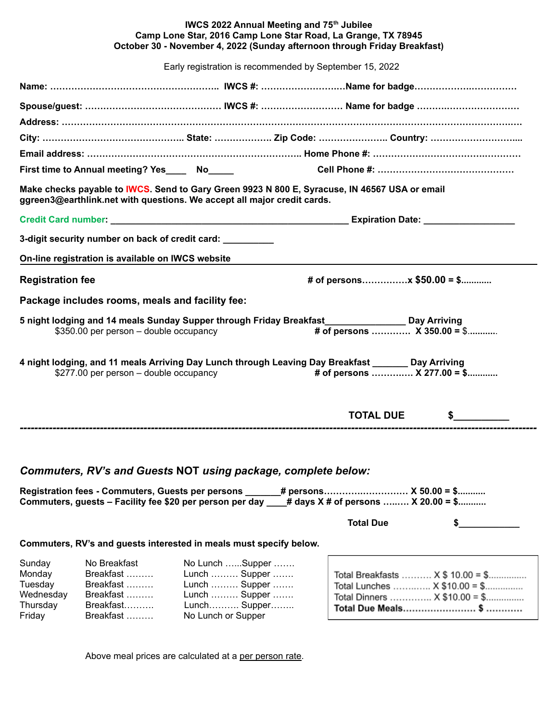## **IWCS 2022 Annual Meeting and 75 th Jubilee Camp Lone Star, 2016 Camp Lone Star Road, La Grange, TX 78945 October 30 - November 4, 2022 (Sunday afternoon through Friday Breakfast)**

|                                                                                                                                                                                                                                                   | Early registration is recommended by September 15, 2022 |
|---------------------------------------------------------------------------------------------------------------------------------------------------------------------------------------------------------------------------------------------------|---------------------------------------------------------|
|                                                                                                                                                                                                                                                   |                                                         |
|                                                                                                                                                                                                                                                   |                                                         |
|                                                                                                                                                                                                                                                   |                                                         |
|                                                                                                                                                                                                                                                   |                                                         |
|                                                                                                                                                                                                                                                   |                                                         |
| First time to Annual meeting? Yes______ No_____                                                                                                                                                                                                   |                                                         |
| Make checks payable to IWCS. Send to Gary Green 9923 N 800 E, Syracuse, IN 46567 USA or email<br>ggreen3@earthlink.net with questions. We accept all major credit cards.                                                                          |                                                         |
|                                                                                                                                                                                                                                                   |                                                         |
| 3-digit security number on back of credit card: _________                                                                                                                                                                                         |                                                         |
| On-line registration is available on IWCS website                                                                                                                                                                                                 |                                                         |
| <b>Registration fee</b>                                                                                                                                                                                                                           |                                                         |
| Package includes rooms, meals and facility fee:                                                                                                                                                                                                   |                                                         |
| 4 night lodging, and 11 meals Arriving Day Lunch through Leaving Day Breakfast _______ Day Arriving<br>\$277.00 per person - double occupancy<br># of persons $X$ 277.00 = \$                                                                     |                                                         |
|                                                                                                                                                                                                                                                   |                                                         |
|                                                                                                                                                                                                                                                   | <b>TOTAL DUE</b>                                        |
| Commuters, RV's and Guests NOT using package, complete below:<br>Registration fees - Commuters, Guests per persons _____# persons X 50.00 = \$<br>Commuters, guests – Facility fee \$20 per person per day ___# days X # of persons  X 20.00 = \$ | <b>Total Due</b>                                        |
| Commuters, RV's and guests interested in meals must specify below.                                                                                                                                                                                |                                                         |

Above meal prices are calculated at a per person rate.